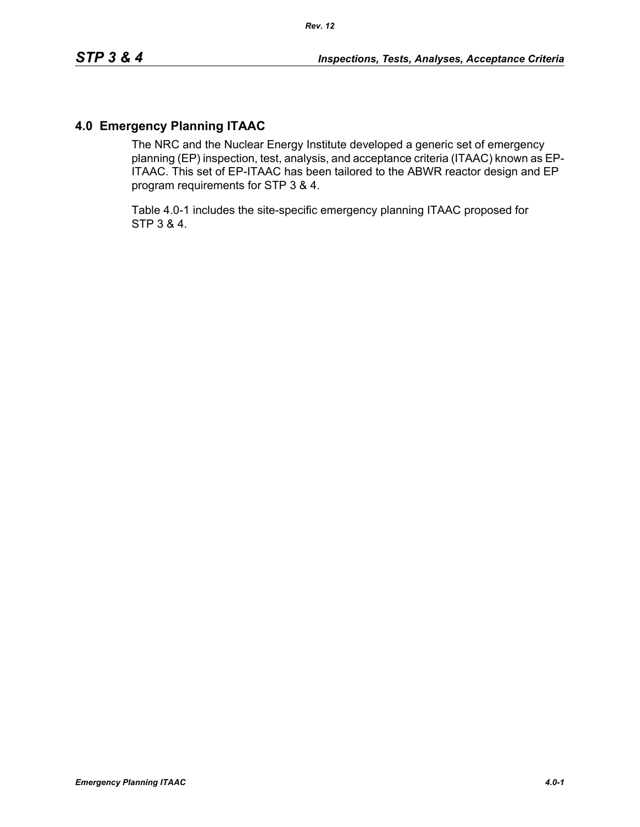# **4.0 Emergency Planning ITAAC**

The NRC and the Nuclear Energy Institute developed a generic set of emergency planning (EP) inspection, test, analysis, and acceptance criteria (ITAAC) known as EP-ITAAC. This set of EP-ITAAC has been tailored to the ABWR reactor design and EP program requirements for STP 3 & 4.

Table 4.0-1 includes the site-specific emergency planning ITAAC proposed for STP 3 & 4.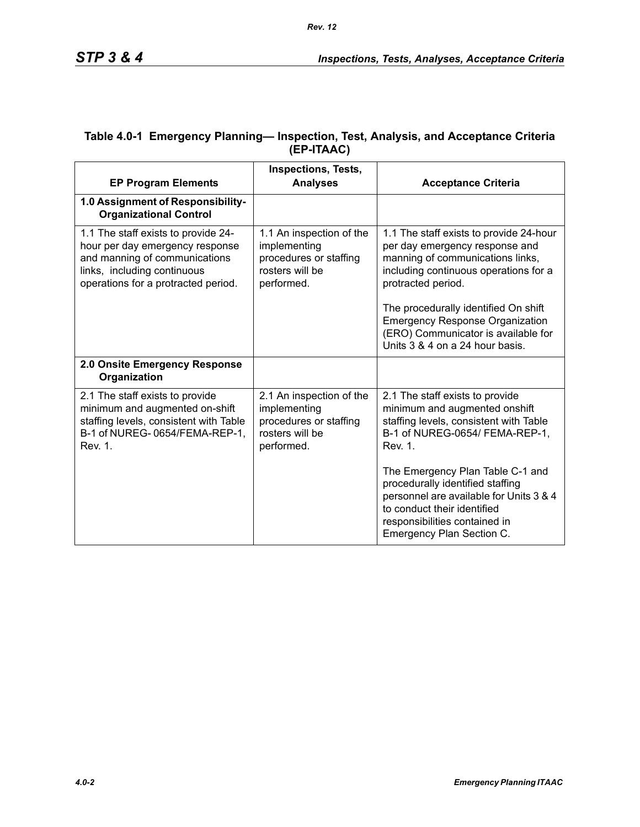| <b>EP Program Elements</b>                                                                                                                                                    | <b>Inspections, Tests,</b><br><b>Analyses</b>                                                       | <b>Acceptance Criteria</b>                                                                                                                                                                                   |
|-------------------------------------------------------------------------------------------------------------------------------------------------------------------------------|-----------------------------------------------------------------------------------------------------|--------------------------------------------------------------------------------------------------------------------------------------------------------------------------------------------------------------|
| 1.0 Assignment of Responsibility-<br><b>Organizational Control</b>                                                                                                            |                                                                                                     |                                                                                                                                                                                                              |
| 1.1 The staff exists to provide 24-<br>hour per day emergency response<br>and manning of communications<br>links, including continuous<br>operations for a protracted period. | 1.1 An inspection of the<br>implementing<br>procedures or staffing<br>rosters will be<br>performed. | 1.1 The staff exists to provide 24-hour<br>per day emergency response and<br>manning of communications links,<br>including continuous operations for a<br>protracted period.                                 |
|                                                                                                                                                                               |                                                                                                     | The procedurally identified On shift<br><b>Emergency Response Organization</b><br>(ERO) Communicator is available for<br>Units 3 & 4 on a 24 hour basis.                                                     |
| 2.0 Onsite Emergency Response<br>Organization                                                                                                                                 |                                                                                                     |                                                                                                                                                                                                              |
| 2.1 The staff exists to provide<br>minimum and augmented on-shift<br>staffing levels, consistent with Table<br>B-1 of NUREG-0654/FEMA-REP-1,<br>Rev. 1.                       | 2.1 An inspection of the<br>implementing<br>procedures or staffing<br>rosters will be<br>performed. | 2.1 The staff exists to provide<br>minimum and augmented onshift<br>staffing levels, consistent with Table<br>B-1 of NUREG-0654/ FEMA-REP-1,<br>Rev. 1.                                                      |
|                                                                                                                                                                               |                                                                                                     | The Emergency Plan Table C-1 and<br>procedurally identified staffing<br>personnel are available for Units 3 & 4<br>to conduct their identified<br>responsibilities contained in<br>Emergency Plan Section C. |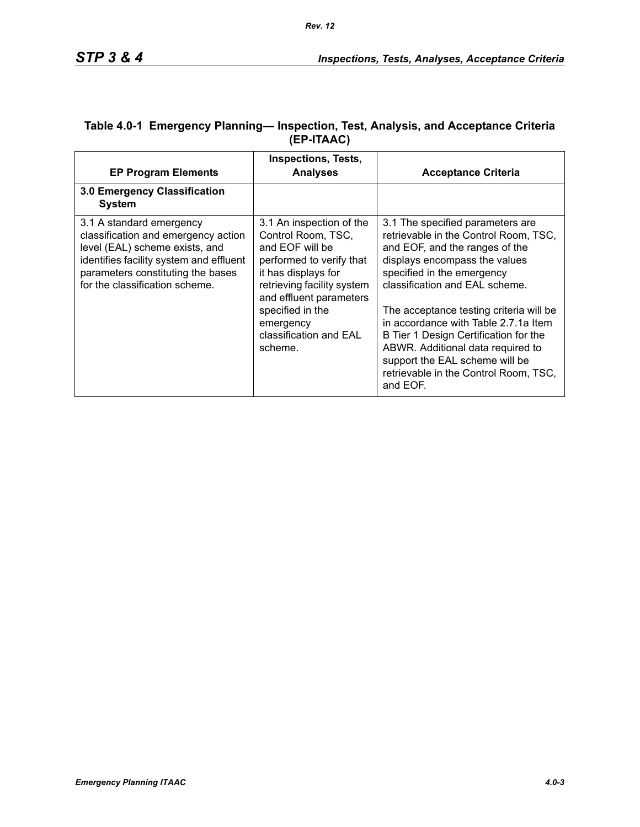| <b>EP Program Elements</b>                                                                                                                                                                                          | <b>Inspections, Tests,</b><br><b>Analyses</b>                                                                                                                                                                                                       | <b>Acceptance Criteria</b>                                                                                                                                                                                                                                                                                                                                                                                                                                           |
|---------------------------------------------------------------------------------------------------------------------------------------------------------------------------------------------------------------------|-----------------------------------------------------------------------------------------------------------------------------------------------------------------------------------------------------------------------------------------------------|----------------------------------------------------------------------------------------------------------------------------------------------------------------------------------------------------------------------------------------------------------------------------------------------------------------------------------------------------------------------------------------------------------------------------------------------------------------------|
| 3.0 Emergency Classification<br><b>System</b>                                                                                                                                                                       |                                                                                                                                                                                                                                                     |                                                                                                                                                                                                                                                                                                                                                                                                                                                                      |
| 3.1 A standard emergency<br>classification and emergency action<br>level (EAL) scheme exists, and<br>identifies facility system and effluent<br>parameters constituting the bases<br>for the classification scheme. | 3.1 An inspection of the<br>Control Room, TSC,<br>and EOF will be<br>performed to verify that<br>it has displays for<br>retrieving facility system<br>and effluent parameters<br>specified in the<br>emergency<br>classification and EAL<br>scheme. | 3.1 The specified parameters are<br>retrievable in the Control Room, TSC,<br>and EOF, and the ranges of the<br>displays encompass the values<br>specified in the emergency<br>classification and EAL scheme.<br>The acceptance testing criteria will be<br>in accordance with Table 2.7.1a Item<br>B Tier 1 Design Certification for the<br>ABWR. Additional data required to<br>support the EAL scheme will be<br>retrievable in the Control Room, TSC,<br>and EOF. |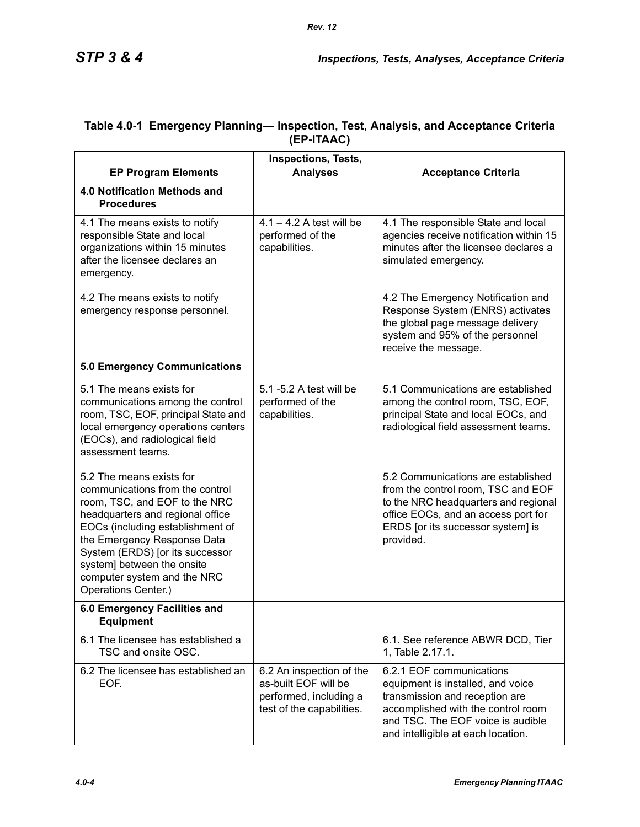| <b>EP Program Elements</b>                                                                                                                                                                                                                                                                                                 | <b>Inspections, Tests,</b><br><b>Analyses</b>                                                           | <b>Acceptance Criteria</b>                                                                                                                                                                                       |
|----------------------------------------------------------------------------------------------------------------------------------------------------------------------------------------------------------------------------------------------------------------------------------------------------------------------------|---------------------------------------------------------------------------------------------------------|------------------------------------------------------------------------------------------------------------------------------------------------------------------------------------------------------------------|
| 4.0 Notification Methods and<br><b>Procedures</b>                                                                                                                                                                                                                                                                          |                                                                                                         |                                                                                                                                                                                                                  |
| 4.1 The means exists to notify<br>responsible State and local<br>organizations within 15 minutes<br>after the licensee declares an<br>emergency.                                                                                                                                                                           | $4.1 - 4.2$ A test will be<br>performed of the<br>capabilities.                                         | 4.1 The responsible State and local<br>agencies receive notification within 15<br>minutes after the licensee declares a<br>simulated emergency.                                                                  |
| 4.2 The means exists to notify<br>emergency response personnel.                                                                                                                                                                                                                                                            |                                                                                                         | 4.2 The Emergency Notification and<br>Response System (ENRS) activates<br>the global page message delivery<br>system and 95% of the personnel<br>receive the message.                                            |
| 5.0 Emergency Communications                                                                                                                                                                                                                                                                                               |                                                                                                         |                                                                                                                                                                                                                  |
| 5.1 The means exists for<br>communications among the control<br>room, TSC, EOF, principal State and<br>local emergency operations centers<br>(EOCs), and radiological field<br>assessment teams.                                                                                                                           | 5.1 -5.2 A test will be<br>performed of the<br>capabilities.                                            | 5.1 Communications are established<br>among the control room, TSC, EOF,<br>principal State and local EOCs, and<br>radiological field assessment teams.                                                           |
| 5.2 The means exists for<br>communications from the control<br>room, TSC, and EOF to the NRC<br>headquarters and regional office<br>EOCs (including establishment of<br>the Emergency Response Data<br>System (ERDS) [or its successor<br>system] between the onsite<br>computer system and the NRC<br>Operations Center.) |                                                                                                         | 5.2 Communications are established<br>from the control room, TSC and EOF<br>to the NRC headquarters and regional<br>office EOCs, and an access port for<br>ERDS [or its successor system] is<br>provided.        |
| 6.0 Emergency Facilities and<br><b>Equipment</b>                                                                                                                                                                                                                                                                           |                                                                                                         |                                                                                                                                                                                                                  |
| 6.1 The licensee has established a<br>TSC and onsite OSC.                                                                                                                                                                                                                                                                  |                                                                                                         | 6.1. See reference ABWR DCD, Tier<br>1, Table 2.17.1.                                                                                                                                                            |
| 6.2 The licensee has established an<br>EOF.                                                                                                                                                                                                                                                                                | 6.2 An inspection of the<br>as-built EOF will be<br>performed, including a<br>test of the capabilities. | 6.2.1 EOF communications<br>equipment is installed, and voice<br>transmission and reception are<br>accomplished with the control room<br>and TSC. The EOF voice is audible<br>and intelligible at each location. |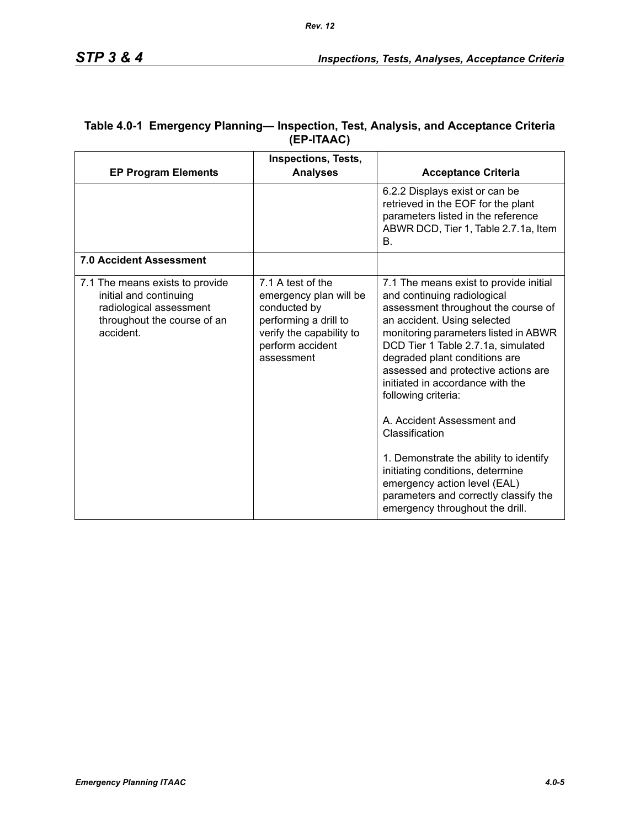|                                                                                                                                  | <b>Inspections, Tests,</b>                                                                                                                         |                                                                                                                                                                                                                                                                                                                                                                                                                                                                                                                                                                     |
|----------------------------------------------------------------------------------------------------------------------------------|----------------------------------------------------------------------------------------------------------------------------------------------------|---------------------------------------------------------------------------------------------------------------------------------------------------------------------------------------------------------------------------------------------------------------------------------------------------------------------------------------------------------------------------------------------------------------------------------------------------------------------------------------------------------------------------------------------------------------------|
| <b>EP Program Elements</b>                                                                                                       | <b>Analyses</b>                                                                                                                                    | <b>Acceptance Criteria</b>                                                                                                                                                                                                                                                                                                                                                                                                                                                                                                                                          |
|                                                                                                                                  |                                                                                                                                                    | 6.2.2 Displays exist or can be<br>retrieved in the EOF for the plant<br>parameters listed in the reference<br>ABWR DCD, Tier 1, Table 2.7.1a, Item<br>В.                                                                                                                                                                                                                                                                                                                                                                                                            |
| <b>7.0 Accident Assessment</b>                                                                                                   |                                                                                                                                                    |                                                                                                                                                                                                                                                                                                                                                                                                                                                                                                                                                                     |
| 7.1 The means exists to provide<br>initial and continuing<br>radiological assessment<br>throughout the course of an<br>accident. | 7.1 A test of the<br>emergency plan will be<br>conducted by<br>performing a drill to<br>verify the capability to<br>perform accident<br>assessment | 7.1 The means exist to provide initial<br>and continuing radiological<br>assessment throughout the course of<br>an accident. Using selected<br>monitoring parameters listed in ABWR<br>DCD Tier 1 Table 2.7.1a, simulated<br>degraded plant conditions are<br>assessed and protective actions are<br>initiated in accordance with the<br>following criteria:<br>A. Accident Assessment and<br>Classification<br>1. Demonstrate the ability to identify<br>initiating conditions, determine<br>emergency action level (EAL)<br>parameters and correctly classify the |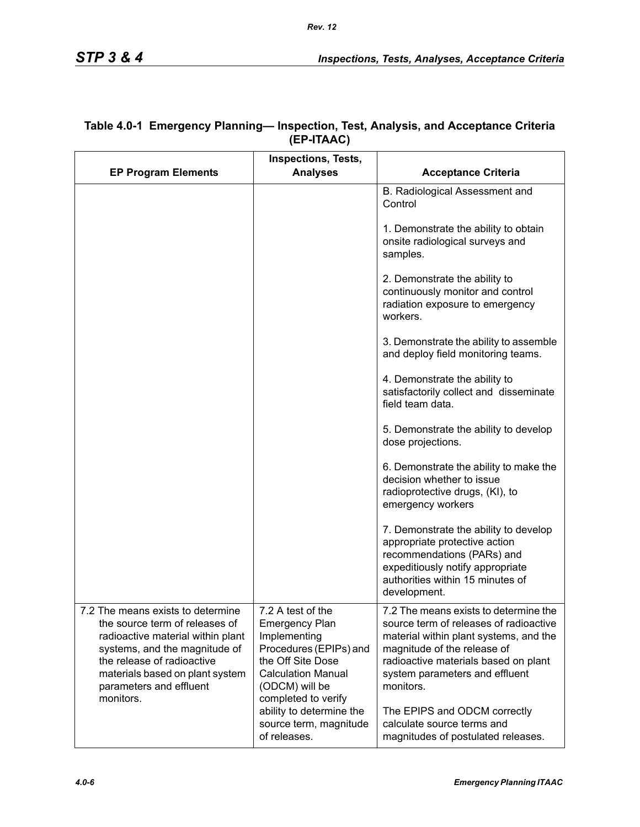| <b>EP Program Elements</b>                                                                                                                                                                                                                         | <b>Inspections, Tests,</b><br><b>Analyses</b>                                                                                                                                   | <b>Acceptance Criteria</b>                                                                                                                                                                                                                      |
|----------------------------------------------------------------------------------------------------------------------------------------------------------------------------------------------------------------------------------------------------|---------------------------------------------------------------------------------------------------------------------------------------------------------------------------------|-------------------------------------------------------------------------------------------------------------------------------------------------------------------------------------------------------------------------------------------------|
|                                                                                                                                                                                                                                                    |                                                                                                                                                                                 | B. Radiological Assessment and<br>Control                                                                                                                                                                                                       |
|                                                                                                                                                                                                                                                    |                                                                                                                                                                                 | 1. Demonstrate the ability to obtain<br>onsite radiological surveys and<br>samples.                                                                                                                                                             |
|                                                                                                                                                                                                                                                    |                                                                                                                                                                                 | 2. Demonstrate the ability to<br>continuously monitor and control<br>radiation exposure to emergency<br>workers.                                                                                                                                |
|                                                                                                                                                                                                                                                    |                                                                                                                                                                                 | 3. Demonstrate the ability to assemble<br>and deploy field monitoring teams.                                                                                                                                                                    |
|                                                                                                                                                                                                                                                    |                                                                                                                                                                                 | 4. Demonstrate the ability to<br>satisfactorily collect and disseminate<br>field team data.                                                                                                                                                     |
|                                                                                                                                                                                                                                                    |                                                                                                                                                                                 | 5. Demonstrate the ability to develop<br>dose projections.                                                                                                                                                                                      |
|                                                                                                                                                                                                                                                    |                                                                                                                                                                                 | 6. Demonstrate the ability to make the<br>decision whether to issue<br>radioprotective drugs, (KI), to<br>emergency workers                                                                                                                     |
|                                                                                                                                                                                                                                                    |                                                                                                                                                                                 | 7. Demonstrate the ability to develop<br>appropriate protective action<br>recommendations (PARs) and<br>expeditiously notify appropriate<br>authorities within 15 minutes of<br>development.                                                    |
| 7.2 The means exists to determine<br>the source term of releases of<br>radioactive material within plant<br>systems, and the magnitude of<br>the release of radioactive<br>materials based on plant system<br>parameters and effluent<br>monitors. | 7.2 A test of the<br><b>Emergency Plan</b><br>Implementing<br>Procedures (EPIPs) and<br>the Off Site Dose<br><b>Calculation Manual</b><br>(ODCM) will be<br>completed to verify | 7.2 The means exists to determine the<br>source term of releases of radioactive<br>material within plant systems, and the<br>magnitude of the release of<br>radioactive materials based on plant<br>system parameters and effluent<br>monitors. |
|                                                                                                                                                                                                                                                    | ability to determine the<br>source term, magnitude<br>of releases.                                                                                                              | The EPIPS and ODCM correctly<br>calculate source terms and<br>magnitudes of postulated releases.                                                                                                                                                |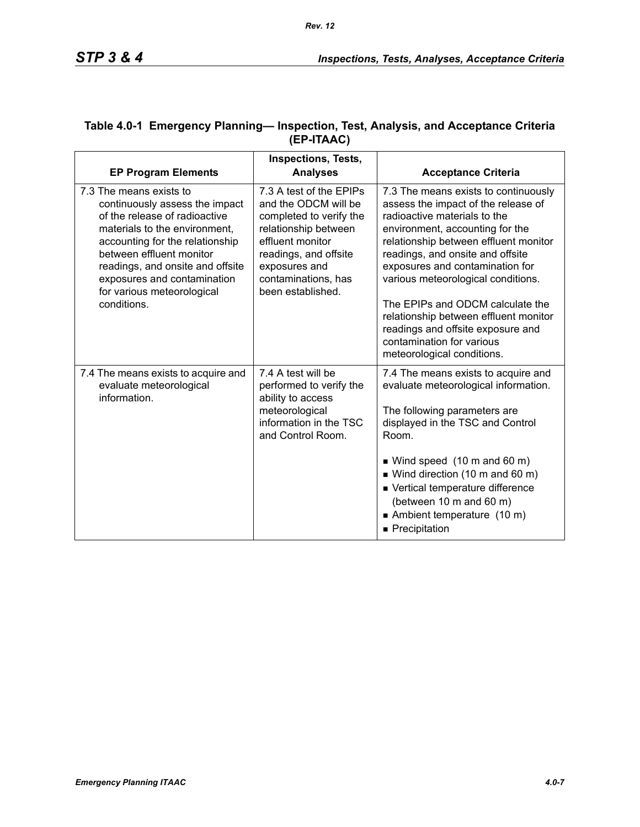|                                                                                                                                                                                                                                                                                                            | <b>Inspections, Tests,</b>                                                                                                                                                                                   |                                                                                                                                                                                                                                                                                                                                                                                                                                                                                   |
|------------------------------------------------------------------------------------------------------------------------------------------------------------------------------------------------------------------------------------------------------------------------------------------------------------|--------------------------------------------------------------------------------------------------------------------------------------------------------------------------------------------------------------|-----------------------------------------------------------------------------------------------------------------------------------------------------------------------------------------------------------------------------------------------------------------------------------------------------------------------------------------------------------------------------------------------------------------------------------------------------------------------------------|
| <b>EP Program Elements</b>                                                                                                                                                                                                                                                                                 | <b>Analyses</b>                                                                                                                                                                                              | <b>Acceptance Criteria</b>                                                                                                                                                                                                                                                                                                                                                                                                                                                        |
| 7.3 The means exists to<br>continuously assess the impact<br>of the release of radioactive<br>materials to the environment,<br>accounting for the relationship<br>between effluent monitor<br>readings, and onsite and offsite<br>exposures and contamination<br>for various meteorological<br>conditions. | 7.3 A test of the EPIPs<br>and the ODCM will be<br>completed to verify the<br>relationship between<br>effluent monitor<br>readings, and offsite<br>exposures and<br>contaminations, has<br>been established. | 7.3 The means exists to continuously<br>assess the impact of the release of<br>radioactive materials to the<br>environment, accounting for the<br>relationship between effluent monitor<br>readings, and onsite and offsite<br>exposures and contamination for<br>various meteorological conditions.<br>The EPIPs and ODCM calculate the<br>relationship between effluent monitor<br>readings and offsite exposure and<br>contamination for various<br>meteorological conditions. |
| 7.4 The means exists to acquire and<br>evaluate meteorological<br>information.                                                                                                                                                                                                                             | 7.4 A test will be<br>performed to verify the<br>ability to access<br>meteorological<br>information in the TSC<br>and Control Room.                                                                          | 7.4 The means exists to acquire and<br>evaluate meteorological information.<br>The following parameters are<br>displayed in the TSC and Control<br>Room.<br>■ Wind speed (10 m and 60 m)<br>$\blacksquare$ Wind direction (10 m and 60 m)<br>■ Vertical temperature difference                                                                                                                                                                                                    |
|                                                                                                                                                                                                                                                                                                            |                                                                                                                                                                                                              | (between 10 m and 60 m)<br>Ambient temperature (10 m)<br>Precipitation                                                                                                                                                                                                                                                                                                                                                                                                            |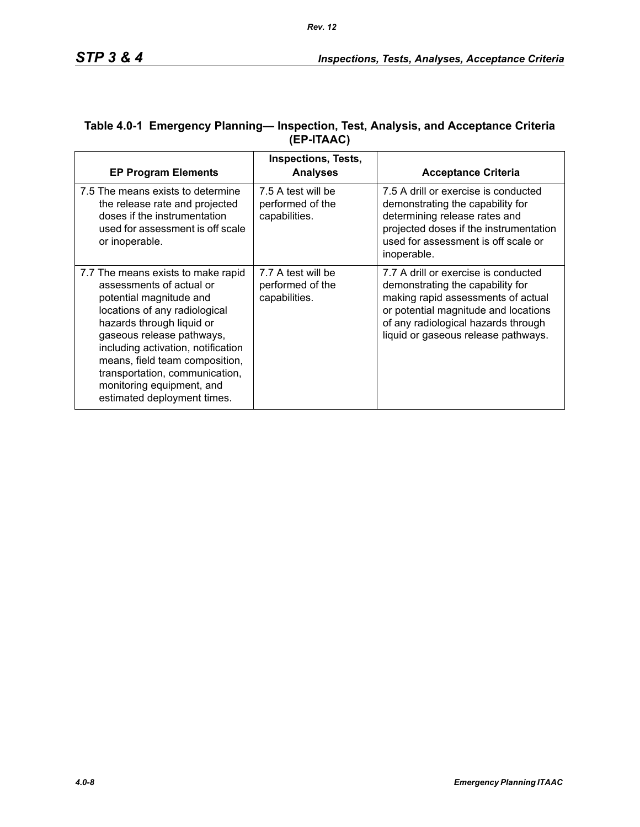| <b>EP Program Elements</b>                                                                                                                                                                                                                                                                                                                                 | <b>Inspections, Tests,</b><br><b>Analyses</b>           | <b>Acceptance Criteria</b>                                                                                                                                                                                                           |
|------------------------------------------------------------------------------------------------------------------------------------------------------------------------------------------------------------------------------------------------------------------------------------------------------------------------------------------------------------|---------------------------------------------------------|--------------------------------------------------------------------------------------------------------------------------------------------------------------------------------------------------------------------------------------|
| 7.5 The means exists to determine<br>the release rate and projected<br>doses if the instrumentation<br>used for assessment is off scale<br>or inoperable.                                                                                                                                                                                                  | 7.5 A test will be<br>performed of the<br>capabilities. | 7.5 A drill or exercise is conducted<br>demonstrating the capability for<br>determining release rates and<br>projected doses if the instrumentation<br>used for assessment is off scale or<br>inoperable.                            |
| 7.7 The means exists to make rapid<br>assessments of actual or<br>potential magnitude and<br>locations of any radiological<br>hazards through liquid or<br>gaseous release pathways,<br>including activation, notification<br>means, field team composition,<br>transportation, communication,<br>monitoring equipment, and<br>estimated deployment times. | 7.7 A test will be<br>performed of the<br>capabilities. | 7.7 A drill or exercise is conducted<br>demonstrating the capability for<br>making rapid assessments of actual<br>or potential magnitude and locations<br>of any radiological hazards through<br>liquid or gaseous release pathways. |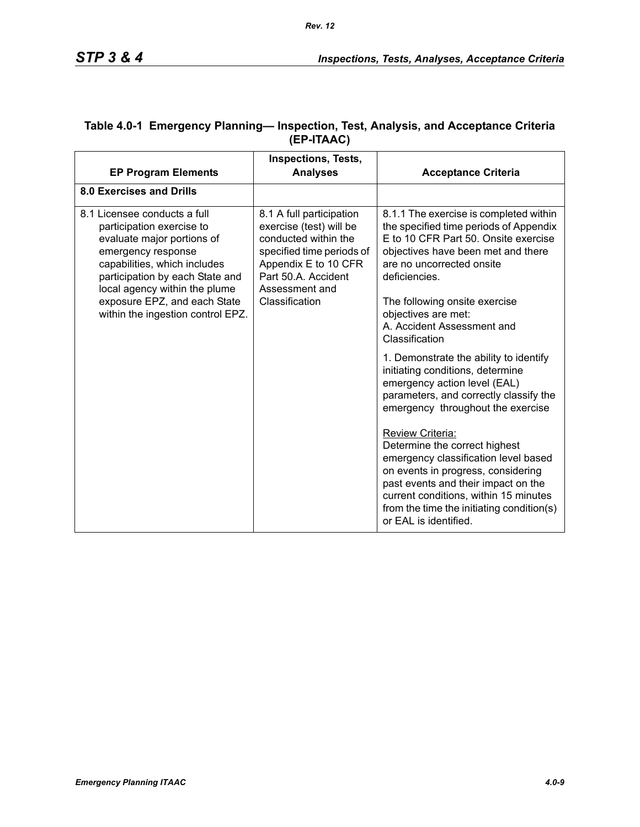|                                                                                                                                                                                                                                                                                        | <b>Inspections, Tests,</b>                                                                                                                                                                  |                                                                                                                                                                                                                                                                                                                                                                                                                                                                                                                                                                                                                |
|----------------------------------------------------------------------------------------------------------------------------------------------------------------------------------------------------------------------------------------------------------------------------------------|---------------------------------------------------------------------------------------------------------------------------------------------------------------------------------------------|----------------------------------------------------------------------------------------------------------------------------------------------------------------------------------------------------------------------------------------------------------------------------------------------------------------------------------------------------------------------------------------------------------------------------------------------------------------------------------------------------------------------------------------------------------------------------------------------------------------|
| <b>EP Program Elements</b>                                                                                                                                                                                                                                                             | <b>Analyses</b>                                                                                                                                                                             | <b>Acceptance Criteria</b>                                                                                                                                                                                                                                                                                                                                                                                                                                                                                                                                                                                     |
| 8.0 Exercises and Drills                                                                                                                                                                                                                                                               |                                                                                                                                                                                             |                                                                                                                                                                                                                                                                                                                                                                                                                                                                                                                                                                                                                |
| 8.1 Licensee conducts a full<br>participation exercise to<br>evaluate major portions of<br>emergency response<br>capabilities, which includes<br>participation by each State and<br>local agency within the plume<br>exposure EPZ, and each State<br>within the ingestion control EPZ. | 8.1 A full participation<br>exercise (test) will be<br>conducted within the<br>specified time periods of<br>Appendix E to 10 CFR<br>Part 50.A. Accident<br>Assessment and<br>Classification | 8.1.1 The exercise is completed within<br>the specified time periods of Appendix<br>E to 10 CFR Part 50. Onsite exercise<br>objectives have been met and there<br>are no uncorrected onsite<br>deficiencies.<br>The following onsite exercise<br>objectives are met:<br>A. Accident Assessment and<br>Classification<br>1. Demonstrate the ability to identify<br>initiating conditions, determine<br>emergency action level (EAL)<br>parameters, and correctly classify the<br>emergency throughout the exercise<br>Review Criteria:<br>Determine the correct highest<br>emergency classification level based |
|                                                                                                                                                                                                                                                                                        |                                                                                                                                                                                             | on events in progress, considering<br>past events and their impact on the<br>current conditions, within 15 minutes<br>from the time the initiating condition(s)<br>or EAL is identified.                                                                                                                                                                                                                                                                                                                                                                                                                       |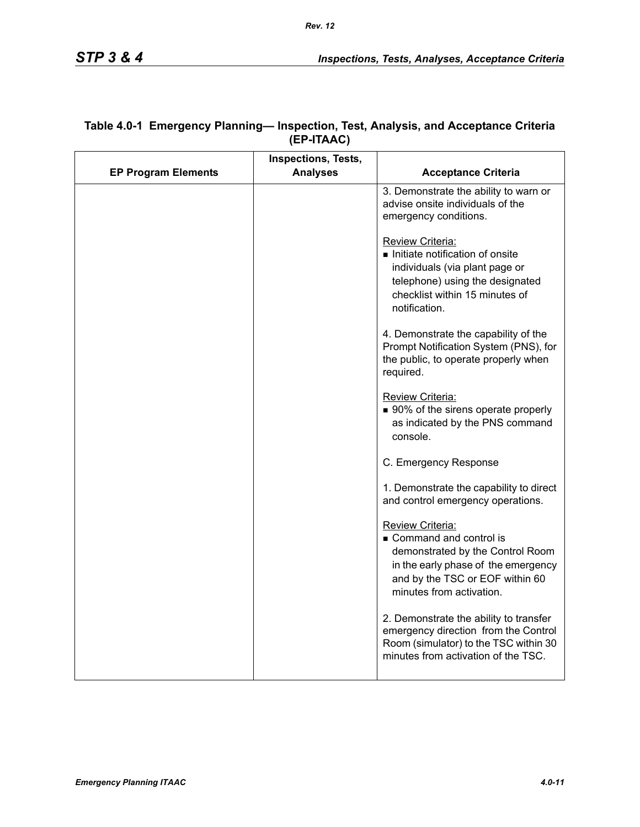|                            | <b>Inspections, Tests,</b> |                                                                                                                                                                                      |
|----------------------------|----------------------------|--------------------------------------------------------------------------------------------------------------------------------------------------------------------------------------|
| <b>EP Program Elements</b> | <b>Analyses</b>            | <b>Acceptance Criteria</b>                                                                                                                                                           |
|                            |                            | 3. Demonstrate the ability to warn or<br>advise onsite individuals of the<br>emergency conditions.                                                                                   |
|                            |                            | <b>Review Criteria:</b><br>Initiate notification of onsite<br>individuals (via plant page or<br>telephone) using the designated<br>checklist within 15 minutes of<br>notification.   |
|                            |                            | 4. Demonstrate the capability of the<br>Prompt Notification System (PNS), for<br>the public, to operate properly when<br>required.                                                   |
|                            |                            | Review Criteria:<br>■ 90% of the sirens operate properly<br>as indicated by the PNS command<br>console.                                                                              |
|                            |                            | C. Emergency Response                                                                                                                                                                |
|                            |                            | 1. Demonstrate the capability to direct<br>and control emergency operations.                                                                                                         |
|                            |                            | Review Criteria:<br>Command and control is<br>demonstrated by the Control Room<br>in the early phase of the emergency<br>and by the TSC or EOF within 60<br>minutes from activation. |
|                            |                            | 2. Demonstrate the ability to transfer<br>emergency direction from the Control<br>Room (simulator) to the TSC within 30<br>minutes from activation of the TSC.                       |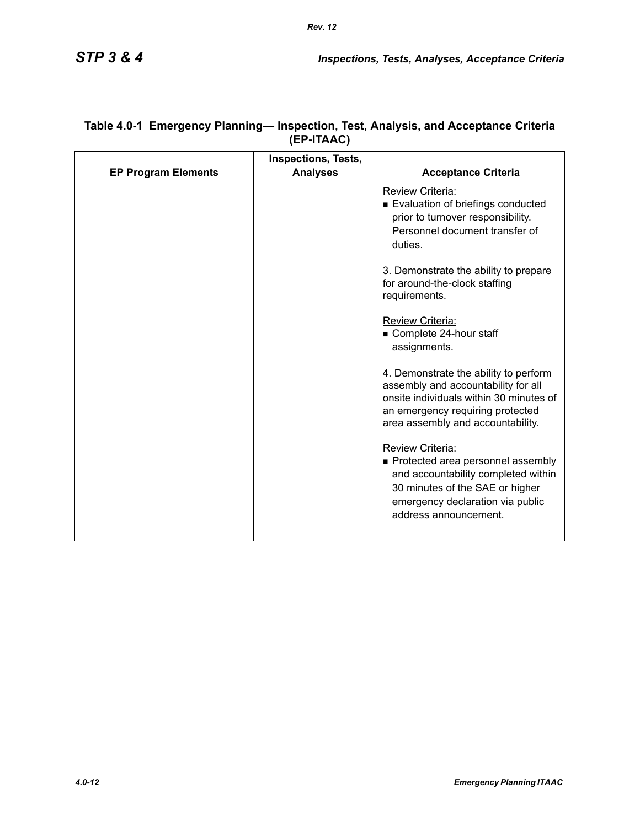|                            | <b>Inspections, Tests,</b> |                                                                                                                                                                                                  |
|----------------------------|----------------------------|--------------------------------------------------------------------------------------------------------------------------------------------------------------------------------------------------|
| <b>EP Program Elements</b> | <b>Analyses</b>            | <b>Acceptance Criteria</b>                                                                                                                                                                       |
|                            |                            | <b>Review Criteria:</b><br>Evaluation of briefings conducted<br>prior to turnover responsibility.<br>Personnel document transfer of<br>duties.                                                   |
|                            |                            | 3. Demonstrate the ability to prepare<br>for around-the-clock staffing<br>requirements.                                                                                                          |
|                            |                            | Review Criteria:<br>Complete 24-hour staff<br>assignments.                                                                                                                                       |
|                            |                            | 4. Demonstrate the ability to perform<br>assembly and accountability for all<br>onsite individuals within 30 minutes of<br>an emergency requiring protected<br>area assembly and accountability. |
|                            |                            | Review Criteria:<br>Protected area personnel assembly<br>and accountability completed within<br>30 minutes of the SAE or higher<br>emergency declaration via public<br>address announcement.     |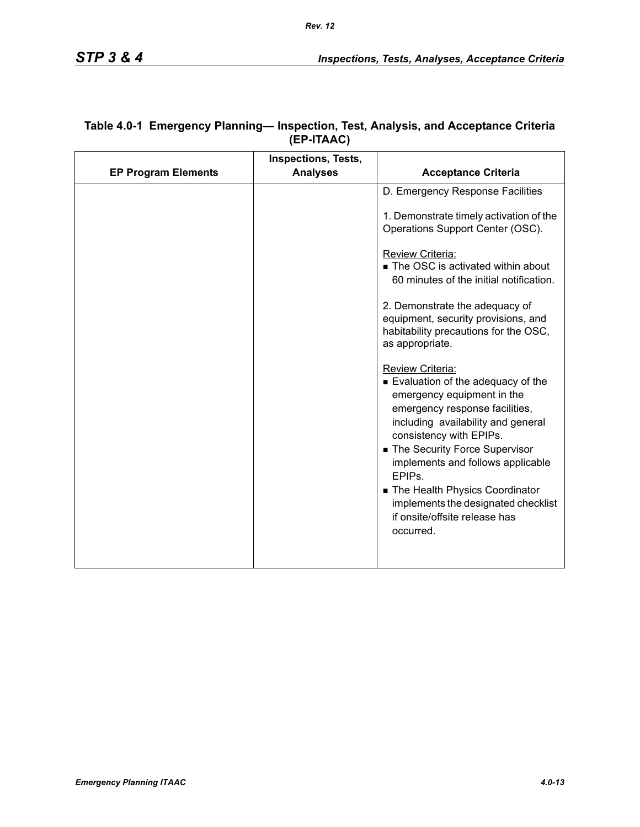|                            | <b>Inspections, Tests,</b> |                                                                                                                                                                                                                                                                                                                                                                                                              |
|----------------------------|----------------------------|--------------------------------------------------------------------------------------------------------------------------------------------------------------------------------------------------------------------------------------------------------------------------------------------------------------------------------------------------------------------------------------------------------------|
| <b>EP Program Elements</b> | <b>Analyses</b>            | <b>Acceptance Criteria</b>                                                                                                                                                                                                                                                                                                                                                                                   |
|                            |                            | D. Emergency Response Facilities                                                                                                                                                                                                                                                                                                                                                                             |
|                            |                            | 1. Demonstrate timely activation of the<br>Operations Support Center (OSC).                                                                                                                                                                                                                                                                                                                                  |
|                            |                            | Review Criteria:<br>■ The OSC is activated within about<br>60 minutes of the initial notification.                                                                                                                                                                                                                                                                                                           |
|                            |                            | 2. Demonstrate the adequacy of<br>equipment, security provisions, and<br>habitability precautions for the OSC,<br>as appropriate.                                                                                                                                                                                                                                                                            |
|                            |                            | Review Criteria:<br>■ Evaluation of the adequacy of the<br>emergency equipment in the<br>emergency response facilities,<br>including availability and general<br>consistency with EPIPs.<br>■ The Security Force Supervisor<br>implements and follows applicable<br>EPIP <sub>S</sub><br>The Health Physics Coordinator<br>implements the designated checklist<br>if onsite/offsite release has<br>occurred. |
|                            |                            |                                                                                                                                                                                                                                                                                                                                                                                                              |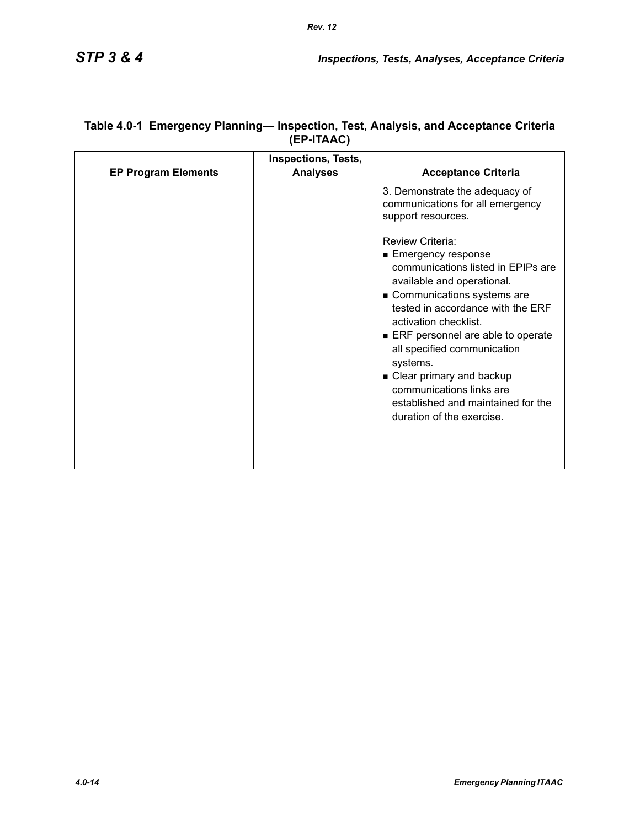| <b>EP Program Elements</b> | <b>Inspections, Tests,</b><br><b>Analyses</b> | <b>Acceptance Criteria</b>                                                                                                                                                                                                                                                                                                                                                                  |
|----------------------------|-----------------------------------------------|---------------------------------------------------------------------------------------------------------------------------------------------------------------------------------------------------------------------------------------------------------------------------------------------------------------------------------------------------------------------------------------------|
|                            |                                               | 3. Demonstrate the adequacy of<br>communications for all emergency<br>support resources.<br><b>Review Criteria:</b><br>■ Emergency response<br>communications listed in EPIPs are<br>available and operational.<br>Communications systems are<br>tested in accordance with the ERF<br>activation checklist.<br>ERF personnel are able to operate<br>all specified communication<br>systems. |
|                            |                                               | • Clear primary and backup<br>communications links are<br>established and maintained for the<br>duration of the exercise.                                                                                                                                                                                                                                                                   |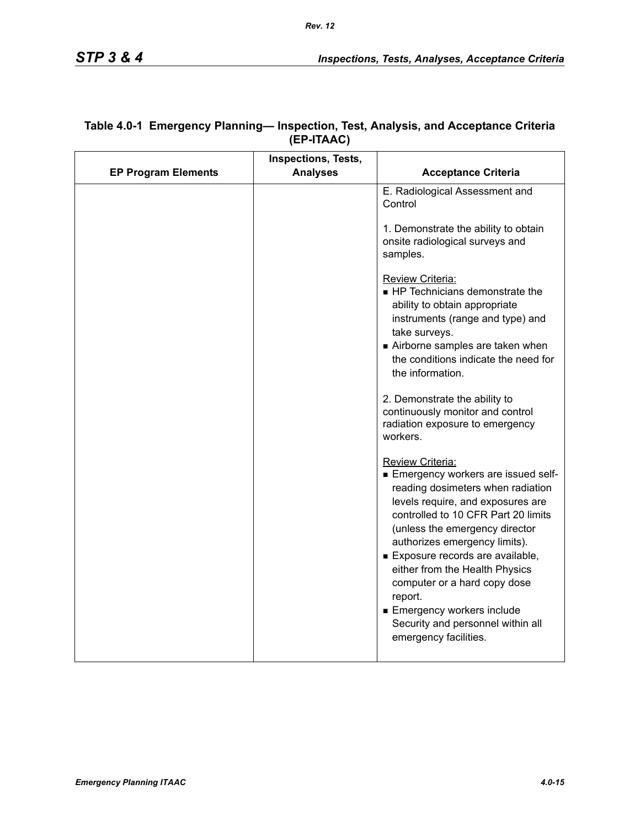|                            | Inspections, Tests, |                                                                                                                                                                                                                                                                                                                                                                                                                                                       |
|----------------------------|---------------------|-------------------------------------------------------------------------------------------------------------------------------------------------------------------------------------------------------------------------------------------------------------------------------------------------------------------------------------------------------------------------------------------------------------------------------------------------------|
| <b>EP Program Elements</b> | <b>Analyses</b>     | <b>Acceptance Criteria</b>                                                                                                                                                                                                                                                                                                                                                                                                                            |
|                            |                     | E. Radiological Assessment and<br>Control                                                                                                                                                                                                                                                                                                                                                                                                             |
|                            |                     | 1. Demonstrate the ability to obtain<br>onsite radiological surveys and<br>samples.                                                                                                                                                                                                                                                                                                                                                                   |
|                            |                     | Review Criteria:<br>HP Technicians demonstrate the<br>ability to obtain appropriate<br>instruments (range and type) and<br>take surveys.<br>Airborne samples are taken when<br>the conditions indicate the need for<br>the information.                                                                                                                                                                                                               |
|                            |                     | 2. Demonstrate the ability to<br>continuously monitor and control<br>radiation exposure to emergency<br>workers.                                                                                                                                                                                                                                                                                                                                      |
|                            |                     | Review Criteria:<br>Emergency workers are issued self-<br>reading dosimeters when radiation<br>levels require, and exposures are<br>controlled to 10 CFR Part 20 limits<br>(unless the emergency director<br>authorizes emergency limits).<br>Exposure records are available,<br>either from the Health Physics<br>computer or a hard copy dose<br>report.<br>Emergency workers include<br>Security and personnel within all<br>emergency facilities. |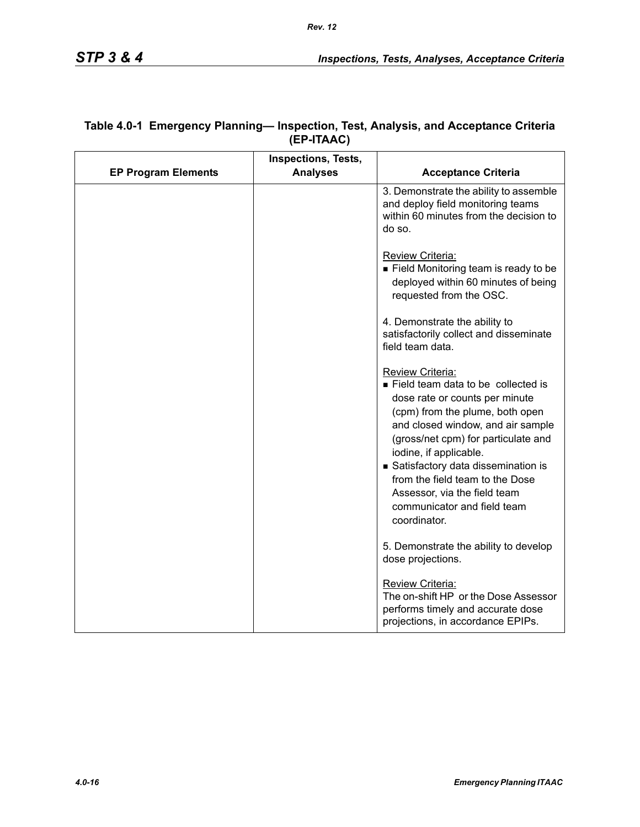|                            | <b>Inspections, Tests,</b> |                                                                                                                                                                                                                                                                                                                                                                                           |
|----------------------------|----------------------------|-------------------------------------------------------------------------------------------------------------------------------------------------------------------------------------------------------------------------------------------------------------------------------------------------------------------------------------------------------------------------------------------|
| <b>EP Program Elements</b> | <b>Analyses</b>            | <b>Acceptance Criteria</b>                                                                                                                                                                                                                                                                                                                                                                |
|                            |                            | 3. Demonstrate the ability to assemble<br>and deploy field monitoring teams<br>within 60 minutes from the decision to<br>do so.                                                                                                                                                                                                                                                           |
|                            |                            | Review Criteria:<br>Field Monitoring team is ready to be<br>deployed within 60 minutes of being<br>requested from the OSC.                                                                                                                                                                                                                                                                |
|                            |                            | 4. Demonstrate the ability to<br>satisfactorily collect and disseminate<br>field team data.                                                                                                                                                                                                                                                                                               |
|                            |                            | Review Criteria:<br>Field team data to be collected is<br>dose rate or counts per minute<br>(cpm) from the plume, both open<br>and closed window, and air sample<br>(gross/net cpm) for particulate and<br>iodine, if applicable.<br>Satisfactory data dissemination is<br>from the field team to the Dose<br>Assessor, via the field team<br>communicator and field team<br>coordinator. |
|                            |                            | 5. Demonstrate the ability to develop<br>dose projections.                                                                                                                                                                                                                                                                                                                                |
|                            |                            | Review Criteria:<br>The on-shift HP or the Dose Assessor<br>performs timely and accurate dose<br>projections, in accordance EPIPs.                                                                                                                                                                                                                                                        |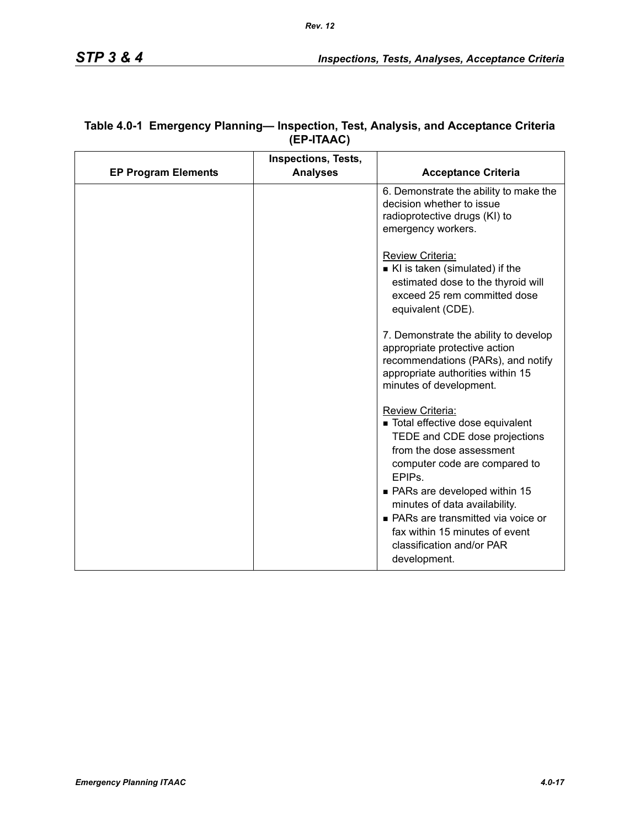| <b>EP Program Elements</b> | <b>Inspections, Tests,</b><br><b>Analyses</b> | <b>Acceptance Criteria</b>                                                                                                                                                                                                                                                           |
|----------------------------|-----------------------------------------------|--------------------------------------------------------------------------------------------------------------------------------------------------------------------------------------------------------------------------------------------------------------------------------------|
|                            |                                               | 6. Demonstrate the ability to make the<br>decision whether to issue<br>radioprotective drugs (KI) to<br>emergency workers.                                                                                                                                                           |
|                            |                                               | Review Criteria:<br>KI is taken (simulated) if the<br>estimated dose to the thyroid will<br>exceed 25 rem committed dose<br>equivalent (CDE).                                                                                                                                        |
|                            |                                               | 7. Demonstrate the ability to develop<br>appropriate protective action<br>recommendations (PARs), and notify<br>appropriate authorities within 15<br>minutes of development.                                                                                                         |
|                            |                                               | Review Criteria:<br>■ Total effective dose equivalent<br>TEDE and CDE dose projections<br>from the dose assessment<br>computer code are compared to<br>EPIP <sub>s</sub> .<br>• PARs are developed within 15<br>minutes of data availability.<br>• PARs are transmitted via voice or |
|                            |                                               | fax within 15 minutes of event<br>classification and/or PAR<br>development.                                                                                                                                                                                                          |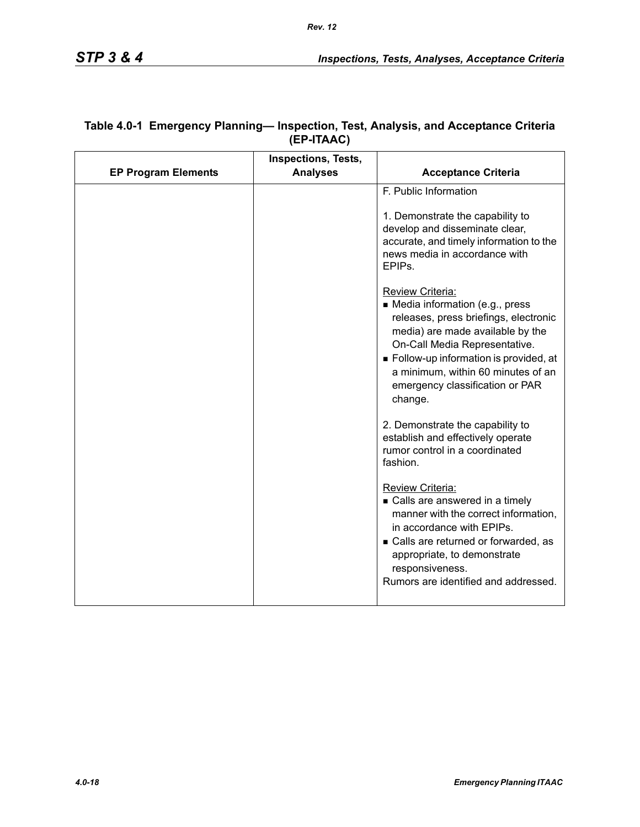|                            | <b>Inspections, Tests,</b> |                                                                                                                                                                                                                                                                                                 |
|----------------------------|----------------------------|-------------------------------------------------------------------------------------------------------------------------------------------------------------------------------------------------------------------------------------------------------------------------------------------------|
| <b>EP Program Elements</b> | <b>Analyses</b>            | <b>Acceptance Criteria</b>                                                                                                                                                                                                                                                                      |
|                            |                            | F. Public Information<br>1. Demonstrate the capability to<br>develop and disseminate clear,<br>accurate, and timely information to the<br>news media in accordance with<br>EPIP <sub>s</sub>                                                                                                    |
|                            |                            | Review Criteria:<br>• Media information (e.g., press<br>releases, press briefings, electronic<br>media) are made available by the<br>On-Call Media Representative.<br>Follow-up information is provided, at<br>a minimum, within 60 minutes of an<br>emergency classification or PAR<br>change. |
|                            |                            | 2. Demonstrate the capability to<br>establish and effectively operate<br>rumor control in a coordinated<br>fashion.                                                                                                                                                                             |
|                            |                            | <b>Review Criteria:</b><br>• Calls are answered in a timely<br>manner with the correct information,<br>in accordance with EPIPs.<br>• Calls are returned or forwarded, as<br>appropriate, to demonstrate<br>responsiveness.<br>Rumors are identified and addressed.                             |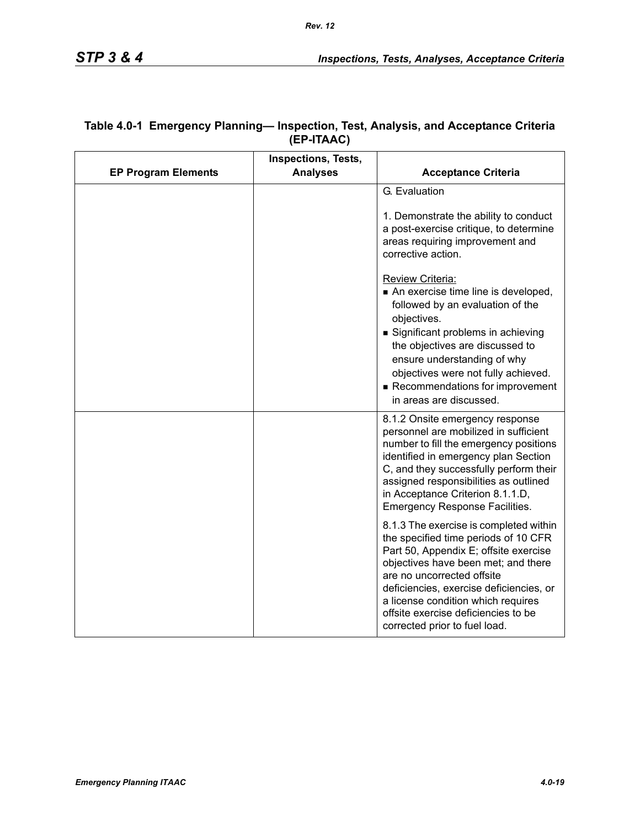|                            | Inspections, Tests, |                                                                                                                                                                                                                                                                                                                                                       |
|----------------------------|---------------------|-------------------------------------------------------------------------------------------------------------------------------------------------------------------------------------------------------------------------------------------------------------------------------------------------------------------------------------------------------|
| <b>EP Program Elements</b> | <b>Analyses</b>     | <b>Acceptance Criteria</b>                                                                                                                                                                                                                                                                                                                            |
|                            |                     | G. Evaluation                                                                                                                                                                                                                                                                                                                                         |
|                            |                     | 1. Demonstrate the ability to conduct<br>a post-exercise critique, to determine<br>areas requiring improvement and<br>corrective action.                                                                                                                                                                                                              |
|                            |                     | Review Criteria:<br>An exercise time line is developed,<br>followed by an evaluation of the<br>objectives.<br>Significant problems in achieving<br>the objectives are discussed to<br>ensure understanding of why<br>objectives were not fully achieved.<br>Recommendations for improvement<br>in areas are discussed.                                |
|                            |                     | 8.1.2 Onsite emergency response<br>personnel are mobilized in sufficient<br>number to fill the emergency positions<br>identified in emergency plan Section<br>C, and they successfully perform their<br>assigned responsibilities as outlined<br>in Acceptance Criterion 8.1.1.D,<br><b>Emergency Response Facilities.</b>                            |
|                            |                     | 8.1.3 The exercise is completed within<br>the specified time periods of 10 CFR<br>Part 50, Appendix E; offsite exercise<br>objectives have been met; and there<br>are no uncorrected offsite<br>deficiencies, exercise deficiencies, or<br>a license condition which requires<br>offsite exercise deficiencies to be<br>corrected prior to fuel load. |